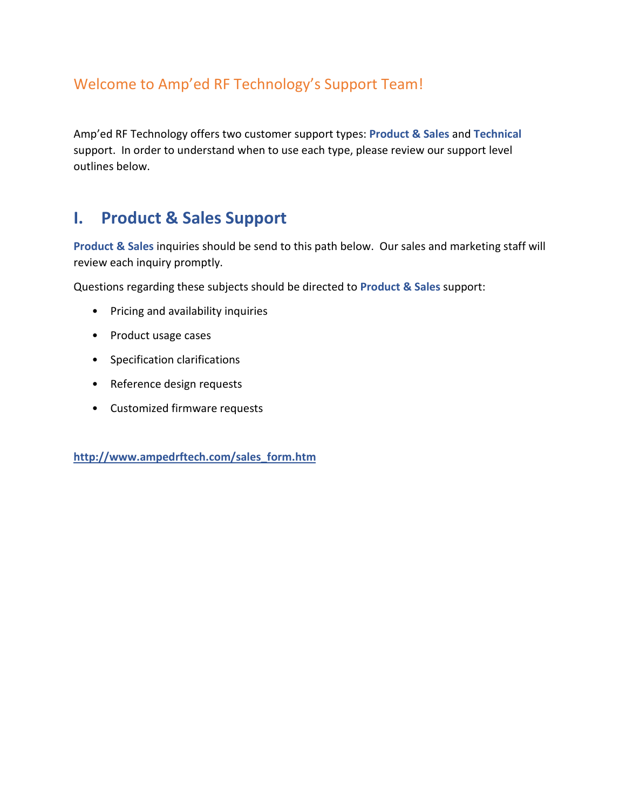#### Welcome to Amp'ed RF Technology's Support Team!

Amp'ed RF Technology offers two customer support types: **Product & Sales** and **Technical** support. In order to understand when to use each type, please review our support level outlines below.

### **I. Product & Sales Support**

**Product & Sales** inquiries should be send to this path below. Our sales and marketing staff will review each inquiry promptly.

Questions regarding these subjects should be directed to **Product & Sales** support:

- Pricing and availability inquiries
- Product usage cases
- Specification clarifications
- Reference design requests
- Customized firmware requests

**[http://www.ampedrftech.com/sales\\_form.htm](http://www.ampedrftech.com/sales_form.htm)**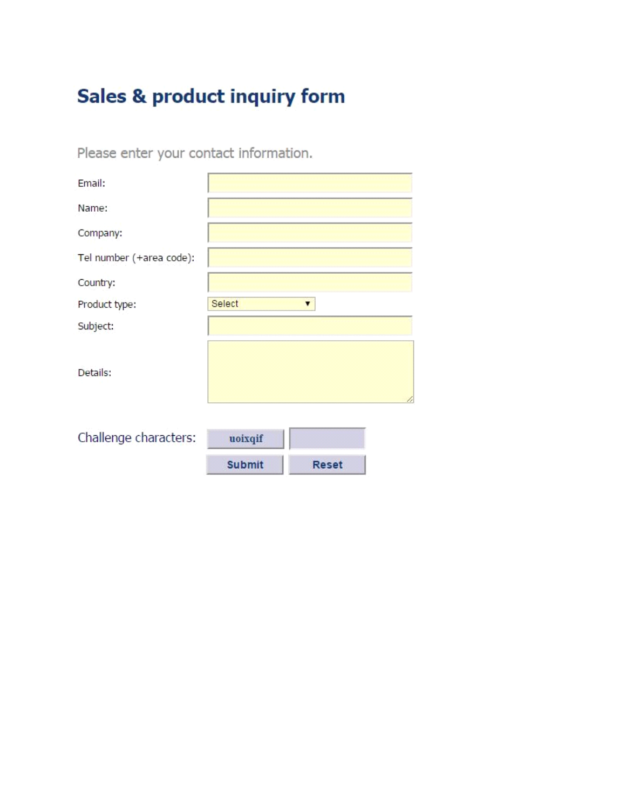# Sales & product inquiry form

Please enter your contact information.

| Email:                   |               |              |
|--------------------------|---------------|--------------|
| Name:                    |               |              |
| Company:                 |               |              |
| Tel number (+area code): |               |              |
| Country:                 |               |              |
| Product type:            | Select        | ▼            |
| Subject:                 |               |              |
| Details:                 |               | 1            |
|                          |               |              |
| Challenge characters:    | uoixqif       |              |
|                          | <b>Submit</b> | <b>Reset</b> |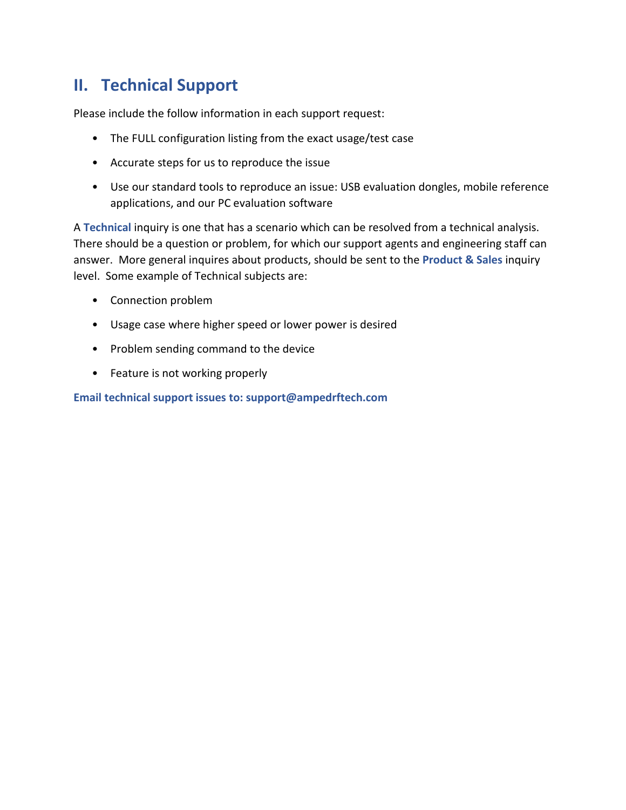## **II. Technical Support**

Please include the follow information in each support request:

- The FULL configuration listing from the exact usage/test case
- Accurate steps for us to reproduce the issue
- Use our standard tools to reproduce an issue: USB evaluation dongles, mobile reference applications, and our PC evaluation software

A **Technical** inquiry is one that has a scenario which can be resolved from a technical analysis. There should be a question or problem, for which our support agents and engineering staff can answer. More general inquires about products, should be sent to the **Product & Sales** inquiry level. Some example of Technical subjects are:

- Connection problem
- Usage case where higher speed or lower power is desired
- Problem sending command to the device
- Feature is not working properly

**Email technical support issues to: support@ampedrftech.com**